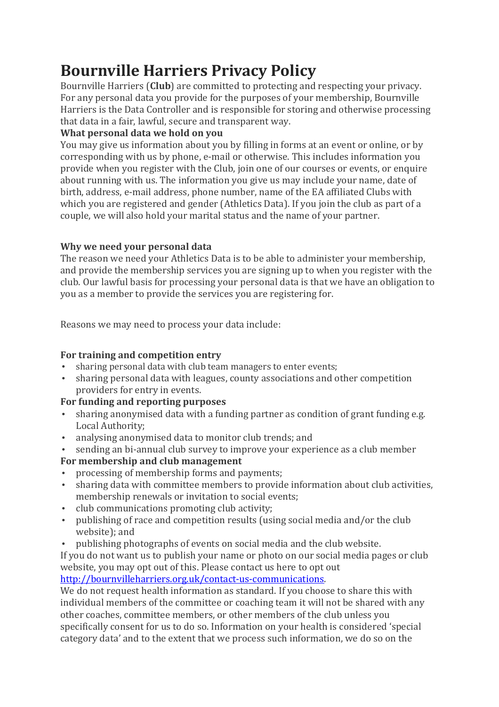# **Bournville Harriers Privacy Policy**

Bournville Harriers (**Club**) are committed to protecting and respecting your privacy. For any personal data you provide for the purposes of your membership, Bournville Harriers is the Data Controller and is responsible for storing and otherwise processing that data in a fair, lawful, secure and transparent way.

## **What personal data we hold on you**

You may give us information about you by filling in forms at an event or online, or by corresponding with us by phone, e-mail or otherwise. This includes information you provide when you register with the Club, join one of our courses or events, or enquire about running with us. The information you give us may include your name, date of birth, address, e-mail address, phone number, name of the EA affiliated Clubs with which you are registered and gender (Athletics Data). If you join the club as part of a couple, we will also hold your marital status and the name of your partner.

### **Why we need your personal data**

The reason we need your Athletics Data is to be able to administer your membership, and provide the membership services you are signing up to when you register with the club. Our lawful basis for processing your personal data is that we have an obligation to you as a member to provide the services you are registering for.

Reasons we may need to process your data include:

### **For training and competition entry**

- sharing personal data with club team managers to enter events;
- sharing personal data with leagues, county associations and other competition providers for entry in events.

## **For funding and reporting purposes**

- sharing anonymised data with a funding partner as condition of grant funding e.g. Local Authority;
- analysing anonymised data to monitor club trends; and
- sending an bi-annual club survey to improve your experience as a club member

## **For membership and club management**

- processing of membership forms and payments;
- sharing data with committee members to provide information about club activities, membership renewals or invitation to social events;
- club communications promoting club activity;
- publishing of race and competition results (using social media and/or the club website); and
- publishing photographs of events on social media and the club website.

If you do not want us to publish your name or photo on our social media pages or club website, you may opt out of this. Please contact us here to opt out http://bournvilleharriers.org.uk/contact-us-communications.

We do not request health information as standard. If you choose to share this with individual members of the committee or coaching team it will not be shared with any other coaches, committee members, or other members of the club unless you specifically consent for us to do so. Information on your health is considered 'special category data' and to the extent that we process such information, we do so on the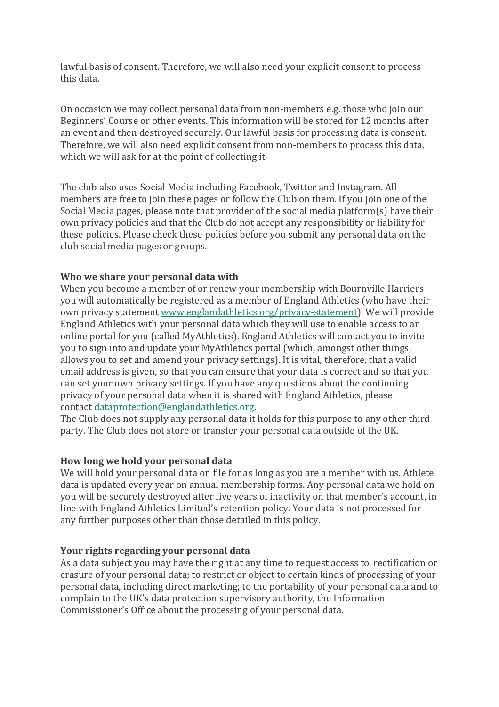lawful basis of consent. Therefore, we will also need your explicit consent to process this data.

On occasion we may collect personal data from non-members e.g. those who join our Beginners' Course or other events. This information will be stored for 12 months after an event and then destroyed securely. Our lawful basis for processing data is consent. Therefore, we will also need explicit consent from non-members to process this data, which we will ask for at the point of collecting it.

The club also uses Social Media including Facebook, Twitter and Instagram. All members are free to join these pages or follow the Club on them. If you join one of the Social Media pages, please note that provider of the social media platform(s) have their own privacy policies and that the Club do not accept any responsibility or liability for these policies. Please check these policies before you submit any personal data on the club social media pages or groups.

### **Who we share your personal data with**

When you become a member of or renew your membership with Bournville Harriers you will automatically be registered as a member of England Athletics (who have their own privacy statement www.englandathletics.org/privacy-statement). We will provide England Athletics with your personal data which they will use to enable access to an online portal for you (called MyAthletics). England Athletics will contact you to invite you to sign into and update your MyAthletics portal (which, amongst other things, allows you to set and amend your privacy settings). It is vital, therefore, that a valid email address is given, so that you can ensure that your data is correct and so that you can set your own privacy settings. If you have any questions about the continuing privacy of your personal data when it is shared with England Athletics, please contact dataprotection@englandathletics.org.

The Club does not supply any personal data it holds for this purpose to any other third party. The Club does not store or transfer your personal data outside of the UK.

#### **How long we hold your personal data**

We will hold your personal data on file for as long as you are a member with us. Athlete data is updated every year on annual membership forms. Any personal data we hold on you will be securely destroyed after five years of inactivity on that member's account, in line with England Athletics Limited's retention policy. Your data is not processed for any further purposes other than those detailed in this policy.

#### **Your rights regarding your personal data**

As a data subject you may have the right at any time to request access to, rectification or erasure of your personal data; to restrict or object to certain kinds of processing of your personal data, including direct marketing; to the portability of your personal data and to complain to the UK's data protection supervisory authority, the Information Commissioner's Office about the processing of your personal data.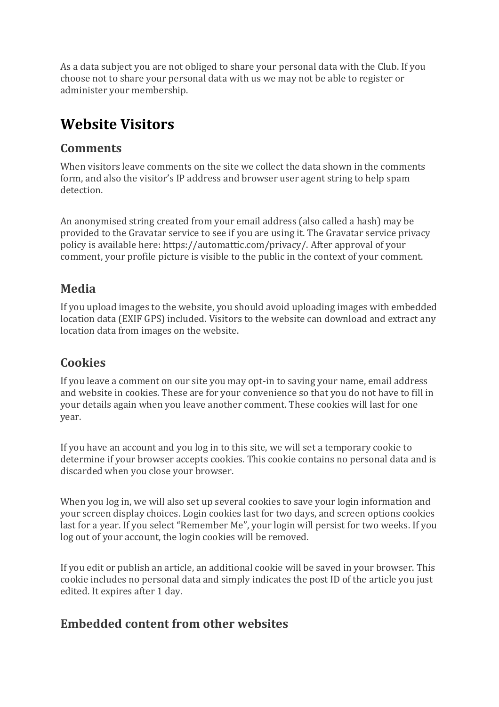As a data subject you are not obliged to share your personal data with the Club. If you choose not to share your personal data with us we may not be able to register or administer your membership.

# **Website Visitors**

# **Comments**

When visitors leave comments on the site we collect the data shown in the comments form, and also the visitor's IP address and browser user agent string to help spam detection.

An anonymised string created from your email address (also called a hash) may be provided to the Gravatar service to see if you are using it. The Gravatar service privacy policy is available here: https://automattic.com/privacy/. After approval of your comment, your profile picture is visible to the public in the context of your comment.

## **Media**

If you upload images to the website, you should avoid uploading images with embedded location data (EXIF GPS) included. Visitors to the website can download and extract any location data from images on the website.

# **Cookies**

If you leave a comment on our site you may opt-in to saving your name, email address and website in cookies. These are for your convenience so that you do not have to fill in your details again when you leave another comment. These cookies will last for one year.

If you have an account and you log in to this site, we will set a temporary cookie to determine if your browser accepts cookies. This cookie contains no personal data and is discarded when you close your browser.

When you log in, we will also set up several cookies to save your login information and your screen display choices. Login cookies last for two days, and screen options cookies last for a year. If you select "Remember Me", your login will persist for two weeks. If you log out of your account, the login cookies will be removed.

If you edit or publish an article, an additional cookie will be saved in your browser. This cookie includes no personal data and simply indicates the post ID of the article you just edited. It expires after 1 day.

# **Embedded content from other websites**